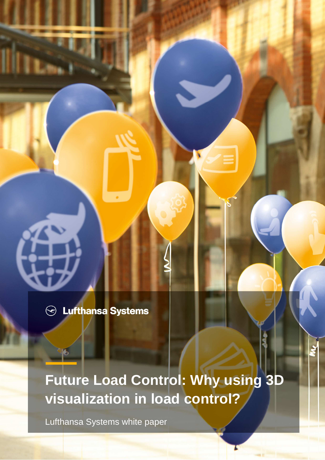$\odot$  Lufthansa Systems

**Future Load Control: Why using 3D visualization in load control?** 

Lufthansa Systems white paper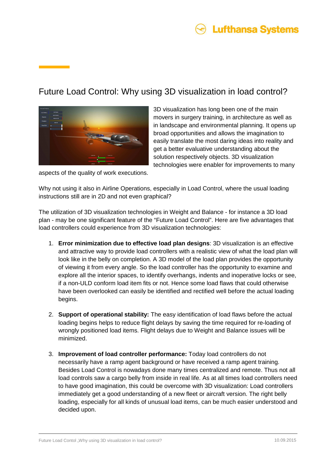

## Future Load Control: Why using 3D visualization in load control?



3D visualization has long been one of the main movers in surgery training, in architecture as well as in landscape and environmental planning. It opens up broad opportunities and allows the imagination to easily translate the most daring ideas into reality and get a better evaluative understanding about the solution respectively objects. 3D visualization technologies were enabler for improvements to many

aspects of the quality of work executions.

Why not using it also in Airline Operations, especially in Load Control, where the usual loading instructions still are in 2D and not even graphical?

The utilization of 3D visualization technologies in Weight and Balance - for instance a 3D load plan - may be one significant feature of the "Future Load Control". Here are five advantages that load controllers could experience from 3D visualization technologies:

- 1. **Error minimization due to effective load plan designs**: 3D visualization is an effective and attractive way to provide load controllers with a realistic view of what the load plan will look like in the belly on completion. A 3D model of the load plan provides the opportunity of viewing it from every angle. So the load controller has the opportunity to examine and explore all the interior spaces, to identify overhangs, indents and inoperative locks or see, if a non-ULD conform load item fits or not. Hence some load flaws that could otherwise have been overlooked can easily be identified and rectified well before the actual loading begins.
- 2. **Support of operational stability:** The easy identification of load flaws before the actual loading begins helps to reduce flight delays by saving the time required for re-loading of wrongly positioned load items. Flight delays due to Weight and Balance issues will be minimized.
- 3. **Improvement of load controller performance:** Today load controllers do not necessarily have a ramp agent background or have received a ramp agent training. Besides Load Control is nowadays done many times centralized and remote. Thus not all load controls saw a cargo belly from inside in real life. As at all times load controllers need to have good imagination, this could be overcome with 3D visualization: Load controllers immediately get a good understanding of a new fleet or aircraft version. The right belly loading, especially for all kinds of unusual load items, can be much easier understood and decided upon.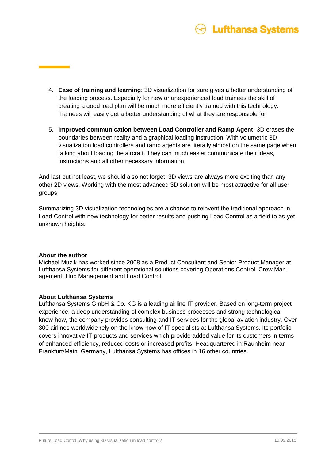

- 4. **Ease of training and learning**: 3D visualization for sure gives a better understanding of the loading process. Especially for new or unexperienced load trainees the skill of creating a good load plan will be much more efficiently trained with this technology. Trainees will easily get a better understanding of what they are responsible for.
- 5. **Improved communication between Load Controller and Ramp Agent:** 3D erases the boundaries between reality and a graphical loading instruction. With volumetric 3D visualization load controllers and ramp agents are literally almost on the same page when talking about loading the aircraft. They can much easier communicate their ideas, instructions and all other necessary information.

And last but not least, we should also not forget: 3D views are always more exciting than any other 2D views. Working with the most advanced 3D solution will be most attractive for all user groups.

Summarizing 3D visualization technologies are a chance to reinvent the traditional approach in Load Control with new technology for better results and pushing Load Control as a field to as-yetunknown heights.

#### **About the author**

Michael Muzik has worked since 2008 as a Product Consultant and Senior Product Manager at Lufthansa Systems for different operational solutions covering Operations Control, Crew Management, Hub Management and Load Control.

#### **About Lufthansa Systems**

Lufthansa Systems GmbH & Co. KG is a leading airline IT provider. Based on long-term project experience, a deep understanding of complex business processes and strong technological know-how, the company provides consulting and IT services for the global aviation industry. Over 300 airlines worldwide rely on the know-how of IT specialists at Lufthansa Systems. Its portfolio covers innovative IT products and services which provide added value for its customers in terms of enhanced efficiency, reduced costs or increased profits. Headquartered in Raunheim near Frankfurt/Main, Germany, Lufthansa Systems has offices in 16 other countries.